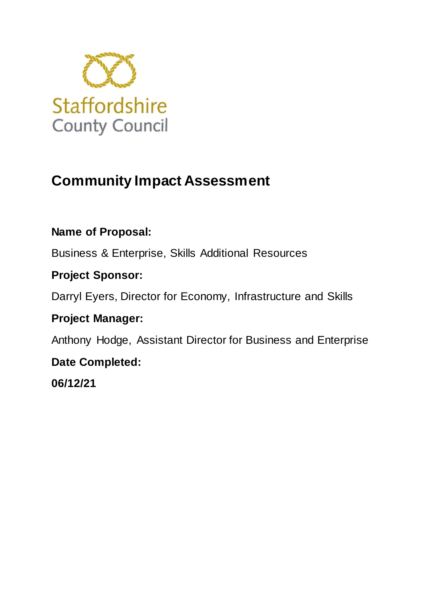

# **Community Impact Assessment**

# **Name of Proposal:**

Business & Enterprise, Skills Additional Resources

# **Project Sponsor:**

Darryl Eyers, Director for Economy, Infrastructure and Skills

# **Project Manager:**

Anthony Hodge, Assistant Director for Business and Enterprise

# **Date Completed:**

**06/12/21**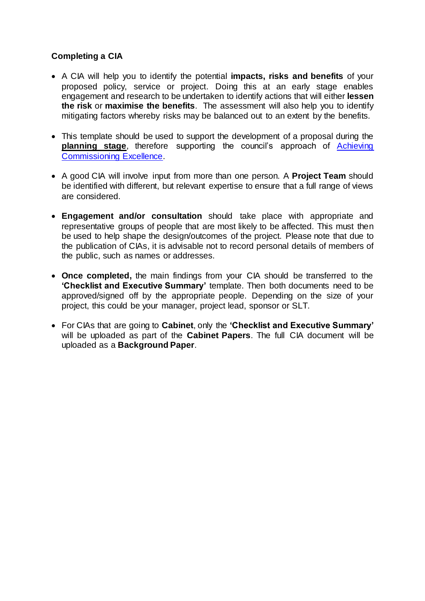### **Completing a CIA**

- A CIA will help you to identify the potential **impacts, risks and benefits** of your proposed policy, service or project. Doing this at an early stage enables engagement and research to be undertaken to identify actions that will either **lessen the risk** or **maximise the benefits**. The assessment will also help you to identify mitigating factors whereby risks may be balanced out to an extent by the benefits.
- This template should be used to support the development of a proposal during the **planning stage**, therefore supporting the council's approach of [Achieving](http://www.intra.staffordshire.gov.uk/newwayworking/Commissioning/Commissioning.aspx)  [Commissioning Excellence.](http://www.intra.staffordshire.gov.uk/newwayworking/Commissioning/Commissioning.aspx)
- A good CIA will involve input from more than one person. A **Project Team** should be identified with different, but relevant expertise to ensure that a full range of views are considered.
- **Engagement and/or consultation** should take place with appropriate and representative groups of people that are most likely to be affected. This must then be used to help shape the design/outcomes of the project. Please note that due to the publication of CIAs, it is advisable not to record personal details of members of the public, such as names or addresses.
- **Once completed,** the main findings from your CIA should be transferred to the **'Checklist and Executive Summary'** template. Then both documents need to be approved/signed off by the appropriate people. Depending on the size of your project, this could be your manager, project lead, sponsor or SLT.
- For CIAs that are going to **Cabinet**, only the **'Checklist and Executive Summary'** will be uploaded as part of the **Cabinet Papers**. The full CIA document will be uploaded as a **Background Paper**.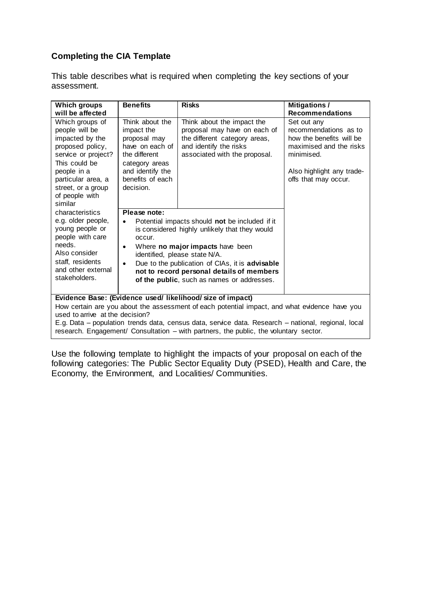### **Completing the CIA Template**

This table describes what is required when completing the key sections of your assessment.

| <b>Which groups</b><br>will be affected                                                                                                                                                                                                                                                                                                                                                        | <b>Benefits</b>                                                                                                                                                                                                                                                                                                                                                                     | <b>Risks</b>                                                                                                                                           | <b>Mitigations /</b><br><b>Recommendations</b>                                                                                                                 |
|------------------------------------------------------------------------------------------------------------------------------------------------------------------------------------------------------------------------------------------------------------------------------------------------------------------------------------------------------------------------------------------------|-------------------------------------------------------------------------------------------------------------------------------------------------------------------------------------------------------------------------------------------------------------------------------------------------------------------------------------------------------------------------------------|--------------------------------------------------------------------------------------------------------------------------------------------------------|----------------------------------------------------------------------------------------------------------------------------------------------------------------|
| Which groups of<br>people will be<br>impacted by the<br>proposed policy,<br>service or project?<br>This could be<br>people in a<br>particular area, a<br>street, or a group<br>of people with<br>similar                                                                                                                                                                                       | Think about the<br>impact the<br>proposal may<br>have on each of<br>the different<br>category areas<br>and identify the<br>benefits of each<br>decision.                                                                                                                                                                                                                            | Think about the impact the<br>proposal may have on each of<br>the different category areas,<br>and identify the risks<br>associated with the proposal. | Set out any<br>recommendations as to<br>how the benefits will be<br>maximised and the risks<br>minimised.<br>Also highlight any trade-<br>offs that may occur. |
| characteristics<br>e.g. older people,<br>young people or<br>people with care<br>needs.<br>Also consider<br>staff, residents<br>and other external<br>stakeholders.                                                                                                                                                                                                                             | Please note:<br>Potential impacts should not be included if it<br>$\bullet$<br>is considered highly unlikely that they would<br>occur.<br>Where no major impacts have been<br>$\bullet$<br>identified, please state N/A.<br>Due to the publication of CIAs, it is advisable<br>$\bullet$<br>not to record personal details of members<br>of the public, such as names or addresses. |                                                                                                                                                        |                                                                                                                                                                |
| Evidence Base: (Evidence used/ likelihood/ size of impact)<br>How certain are you about the assessment of each potential impact, and what evidence have you<br>used to arrive at the decision?<br>E.g. Data – population trends data, census data, service data. Research – national, regional, local<br>research. Engagement/ Consultation - with partners, the public, the voluntary sector. |                                                                                                                                                                                                                                                                                                                                                                                     |                                                                                                                                                        |                                                                                                                                                                |

Use the following template to highlight the impacts of your proposal on each of the following categories: The Public Sector Equality Duty (PSED), Health and Care, the Economy, the Environment, and Localities/ Communities.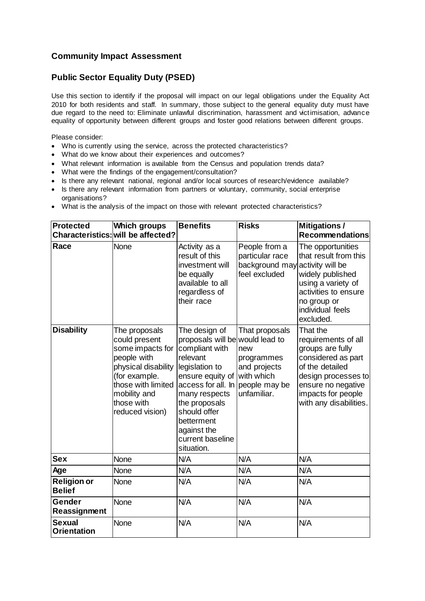### **Community Impact Assessment**

### **Public Sector Equality Duty (PSED)**

Use this section to identify if the proposal will impact on our legal obligations under the Equality Act 2010 for both residents and staff. In summary, those subject to the general equality duty must have due regard to the need to: Eliminate unlawful discrimination, harassment and victimisation, advance equality of opportunity between different groups and foster good relations between different groups.

Please consider:

- Who is currently using the service, across the protected characteristics?
- What do we know about their experiences and outcomes?
- What relevant information is available from the Census and population trends data?
- What were the findings of the engagement/consultation?
- Is there any relevant national, regional and/or local sources of research/evidence available?
- Is there any relevant information from partners or voluntary, community, social enterprise organisations?
- What is the analysis of the impact on those with relevant protected characteristics?

| <b>Protected</b>                    | <b>Which groups</b>                                                                                                                                                              | <b>Benefits</b>                                                                                                                                                                                                                                                           | <b>Risks</b>                                                                     | <b>Mitigations/</b>                                                                                                                                                                       |
|-------------------------------------|----------------------------------------------------------------------------------------------------------------------------------------------------------------------------------|---------------------------------------------------------------------------------------------------------------------------------------------------------------------------------------------------------------------------------------------------------------------------|----------------------------------------------------------------------------------|-------------------------------------------------------------------------------------------------------------------------------------------------------------------------------------------|
|                                     | Characteristics: will be affected?                                                                                                                                               |                                                                                                                                                                                                                                                                           |                                                                                  | <b>Recommendations</b>                                                                                                                                                                    |
| Race                                | <b>None</b>                                                                                                                                                                      | Activity as a<br>result of this<br>investment will<br>be equally<br>available to all<br>regardless of<br>their race                                                                                                                                                       | People from a<br>particular race<br>background may<br>feel excluded              | The opportunities<br>that result from this<br>activity will be<br>widely published<br>using a variety of<br>activities to ensure<br>no group or<br>individual feels<br>excluded.          |
| <b>Disability</b>                   | The proposals<br>could present<br>some impacts for<br>people with<br>physical disability<br>(for example.<br>those with limited<br>mobility and<br>those with<br>reduced vision) | The design of<br>proposals will be would lead to<br>compliant with<br>relevant<br>legislation to<br>ensure equity of<br>access for all. In people may be<br>many respects<br>the proposals<br>should offer<br>betterment<br>against the<br>current baseline<br>situation. | That proposals<br>new<br>programmes<br>and projects<br>with which<br>unfamiliar. | That the<br>requirements of all<br>groups are fully<br>considered as part<br>of the detailed<br>design processes to<br>ensure no negative<br>impacts for people<br>with any disabilities. |
| <b>Sex</b>                          | <b>None</b>                                                                                                                                                                      | N/A                                                                                                                                                                                                                                                                       | N/A                                                                              | N/A                                                                                                                                                                                       |
| Age                                 | <b>None</b>                                                                                                                                                                      | N/A                                                                                                                                                                                                                                                                       | N/A                                                                              | N/A                                                                                                                                                                                       |
| <b>Religion or</b><br><b>Belief</b> | None                                                                                                                                                                             | N/A                                                                                                                                                                                                                                                                       | N/A                                                                              | N/A                                                                                                                                                                                       |
| Gender<br>Reassignment              | <b>None</b>                                                                                                                                                                      | N/A                                                                                                                                                                                                                                                                       | N/A                                                                              | N/A                                                                                                                                                                                       |
| <b>Sexual</b><br><b>Orientation</b> | None                                                                                                                                                                             | N/A                                                                                                                                                                                                                                                                       | N/A                                                                              | N/A                                                                                                                                                                                       |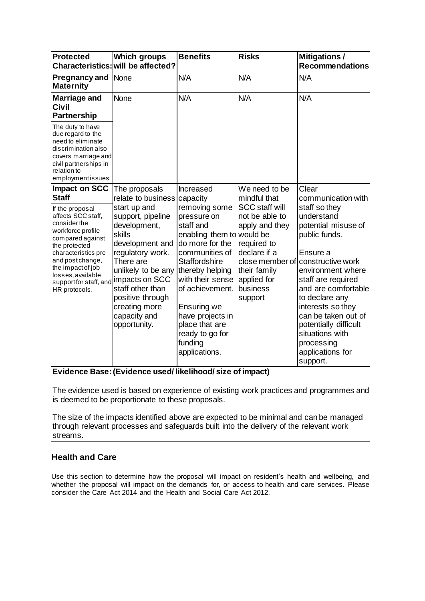| <b>Protected</b>                                                                                                                                                                                                                                | <b>Which groups</b><br>Characteristics: will be affected?                                                                                                                                                                                        | <b>Benefits</b>                                                                                                                                                                                                                                                                                   | <b>Risks</b>                                                                                                                                   | <b>Mitigations/</b><br><b>Recommendations</b>                                                                                                                                                                                                                                                                                                  |
|-------------------------------------------------------------------------------------------------------------------------------------------------------------------------------------------------------------------------------------------------|--------------------------------------------------------------------------------------------------------------------------------------------------------------------------------------------------------------------------------------------------|---------------------------------------------------------------------------------------------------------------------------------------------------------------------------------------------------------------------------------------------------------------------------------------------------|------------------------------------------------------------------------------------------------------------------------------------------------|------------------------------------------------------------------------------------------------------------------------------------------------------------------------------------------------------------------------------------------------------------------------------------------------------------------------------------------------|
| <b>Pregnancy and</b><br><b>Maternity</b>                                                                                                                                                                                                        | None                                                                                                                                                                                                                                             | N/A                                                                                                                                                                                                                                                                                               | N/A                                                                                                                                            | N/A                                                                                                                                                                                                                                                                                                                                            |
| <b>Marriage and</b><br><b>Civil</b><br><b>Partnership</b>                                                                                                                                                                                       | None                                                                                                                                                                                                                                             | N/A                                                                                                                                                                                                                                                                                               | N/A                                                                                                                                            | N/A                                                                                                                                                                                                                                                                                                                                            |
| The duty to have<br>due regard to the<br>need to eliminate<br>discrimination also<br>covers marriage and<br>civil partnerships in<br>relation to<br>employmentissues.                                                                           |                                                                                                                                                                                                                                                  |                                                                                                                                                                                                                                                                                                   |                                                                                                                                                |                                                                                                                                                                                                                                                                                                                                                |
| Impact on SCC<br><b>Staff</b>                                                                                                                                                                                                                   | The proposals<br>relate to business capacity                                                                                                                                                                                                     | Increased                                                                                                                                                                                                                                                                                         | We need to be<br>mindful that                                                                                                                  | Clear<br>communication with                                                                                                                                                                                                                                                                                                                    |
| If the proposal<br>affects SCC staff,<br>consider the<br>workforce profile<br>compared against<br>the protected<br>characteristics pre<br>and post change,<br>the impact of job<br>losses, available<br>support for staff, and<br>HR protocols. | start up and<br>support, pipeline<br>development,<br>skills<br>development and<br>regulatory work.<br>There are<br>unlikely to be any<br>impacts on SCC<br>staff other than<br>positive through<br>creating more<br>capacity and<br>opportunity. | removing some<br>pressure on<br>staff and<br>enabling them to would be<br>do more for the<br>communities of<br><b>Staffordshire</b><br>thereby helping<br>with their sense<br>of achievement.<br>Ensuring we<br>have projects in<br>place that are<br>ready to go for<br>funding<br>applications. | <b>SCC staff will</b><br>not be able to<br>apply and they<br>required to<br>declare if a<br>their family<br>applied for<br>business<br>support | staff so they<br>understand<br>potential misuse of<br>public funds.<br>Ensure a<br>close member of constructive work<br>environment where<br>staff are required<br>and are comfortable<br>to declare any<br>interests so they<br>can be taken out of<br>potentially difficult<br>situations with<br>processing<br>applications for<br>support. |

#### **Evidence Base: (Evidence used/ likelihood/ size of impact)**

The evidence used is based on experience of existing work practices and programmes and is deemed to be proportionate to these proposals.

The size of the impacts identified above are expected to be minimal and can be managed through relevant processes and safeguards built into the delivery of the relevant work streams.

#### **Health and Care**

Use this section to determine how the proposal will impact on resident's health and wellbeing, and whether the proposal will impact on the demands for, or access to health and care services. Please consider the Care Act 2014 and the Health and Social Care Act 2012.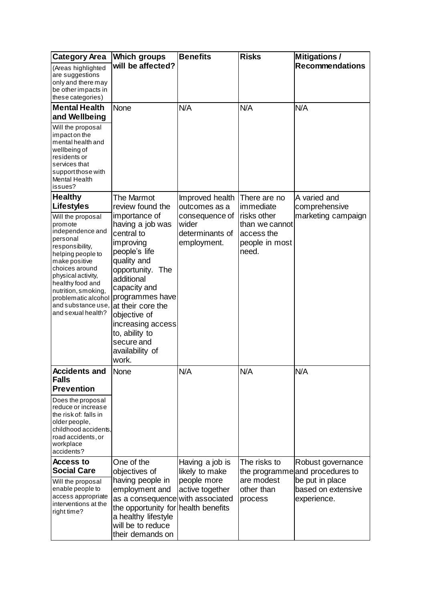| <b>Category Area</b>                                                                                                                                                                                                                                                                                               | Which groups                                                                                                                                                                                                                                                                                                              | <b>Benefits</b>                                                                               | <b>Risks</b>                                                                                        | <b>Mitigations /</b>                                                                    |
|--------------------------------------------------------------------------------------------------------------------------------------------------------------------------------------------------------------------------------------------------------------------------------------------------------------------|---------------------------------------------------------------------------------------------------------------------------------------------------------------------------------------------------------------------------------------------------------------------------------------------------------------------------|-----------------------------------------------------------------------------------------------|-----------------------------------------------------------------------------------------------------|-----------------------------------------------------------------------------------------|
| (Areas highlighted<br>are suggestions<br>only and there may<br>be other impacts in                                                                                                                                                                                                                                 | will be affected?                                                                                                                                                                                                                                                                                                         |                                                                                               |                                                                                                     | <b>Recommendations</b>                                                                  |
| these categories)                                                                                                                                                                                                                                                                                                  |                                                                                                                                                                                                                                                                                                                           |                                                                                               |                                                                                                     |                                                                                         |
| <b>Mental Health</b><br>and Wellbeing<br>Will the proposal<br>impact on the<br>mental health and<br>wellbeing of<br>residents or<br>services that<br>support those with<br><b>Mental Health</b><br>issues?                                                                                                         | None                                                                                                                                                                                                                                                                                                                      | N/A                                                                                           | N/A                                                                                                 | N/A                                                                                     |
| <b>Healthy</b><br><b>Lifestyles</b><br>Will the proposal<br>promote<br>independence and<br>personal<br>responsibility,<br>helping people to<br>make positive<br>choices around<br>physical activity,<br>healthy food and<br>nutrition, smoking,<br>problematic alcohol<br>and substance use,<br>and sexual health? | The Marmot<br>review found the<br>importance of<br>having a job was<br>central to<br>improving<br>people's life<br>quality and<br>opportunity. The<br>additional<br>capacity and<br>programmes have<br>at their core the<br>objective of<br>increasing access<br>to, ability to<br>secure and<br>availability of<br>work. | Improved health<br>outcomes as a<br>consequence of<br>wider<br>determinants of<br>employment. | There are no<br>immediate<br>risks other<br>than we cannot<br>access the<br>people in most<br>need. | A varied and<br>comprehensive<br>marketing campaign                                     |
| <b>Accidents and</b><br><b>Falls</b><br><b>Prevention</b><br>Does the proposal                                                                                                                                                                                                                                     | None                                                                                                                                                                                                                                                                                                                      | N/A                                                                                           | N/A                                                                                                 | N/A                                                                                     |
| reduce or increase<br>the risk of: falls in<br>older people,<br>childhood accidents,<br>road accidents, or<br>workplace<br>accidents?                                                                                                                                                                              |                                                                                                                                                                                                                                                                                                                           |                                                                                               |                                                                                                     |                                                                                         |
| <b>Access to</b>                                                                                                                                                                                                                                                                                                   | One of the                                                                                                                                                                                                                                                                                                                | Having a job is                                                                               | The risks to                                                                                        | Robust governance                                                                       |
| <b>Social Care</b><br>Will the proposal<br>enable people to<br>access appropriate<br>interventions at the<br>right time?                                                                                                                                                                                           | objectives of<br>having people in<br>employment and<br>as a consequence with associated<br>the opportunity for health benefits<br>a healthy lifestyle<br>will be to reduce<br>their demands on                                                                                                                            | likely to make<br>people more<br>active together                                              | are modest<br>other than<br>process                                                                 | the programme and procedures to<br>be put in place<br>based on extensive<br>experience. |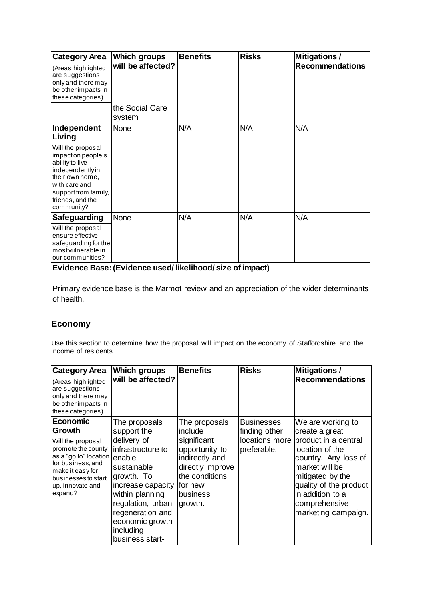| <b>Category Area</b>                                                                                                                                                       | <b>Which groups</b>       | <b>Benefits</b> | <b>Risks</b> | <b>Mitigations /</b>                                                                     |  |
|----------------------------------------------------------------------------------------------------------------------------------------------------------------------------|---------------------------|-----------------|--------------|------------------------------------------------------------------------------------------|--|
| (Areas highlighted<br>are suggestions<br>only and there may<br>be other impacts in<br>these categories)                                                                    | will be affected?         |                 |              | <b>Recommendations</b>                                                                   |  |
|                                                                                                                                                                            | the Social Care<br>system |                 |              |                                                                                          |  |
| Independent<br>Living                                                                                                                                                      | None                      | N/A             | N/A          | N/A                                                                                      |  |
| Will the proposal<br>impacton people's<br>ability to live<br>independentlyin<br>their own home.<br>with care and<br>support from family,<br>friends, and the<br>community? |                           |                 |              |                                                                                          |  |
| <b>Safeguarding</b>                                                                                                                                                        | <b>None</b>               | N/A             | N/A          | N/A                                                                                      |  |
| Will the proposal<br>ensure effective<br>safeguarding for the<br>most vulnerable in<br>our communities?                                                                    |                           |                 |              |                                                                                          |  |
| Evidence Base: (Evidence used/likelihood/size of impact)                                                                                                                   |                           |                 |              |                                                                                          |  |
| of health.                                                                                                                                                                 |                           |                 |              | Primary evidence base is the Marmot review and an appreciation of the wider determinants |  |

### **Economy**

Use this section to determine how the proposal will impact on the economy of Staffordshire and the income of residents.

| <b>Category Area</b>                                                                                                                                            | <b>Which groups</b>                                                                                                                                                                                         | <b>Benefits</b>                                                                                                          | <b>Risks</b>                  | <b>Mitigations /</b>                                                                                                                                                                        |
|-----------------------------------------------------------------------------------------------------------------------------------------------------------------|-------------------------------------------------------------------------------------------------------------------------------------------------------------------------------------------------------------|--------------------------------------------------------------------------------------------------------------------------|-------------------------------|---------------------------------------------------------------------------------------------------------------------------------------------------------------------------------------------|
| (Areas highlighted<br>are suggestions<br>only and there may<br>be other impacts in<br>these categories)                                                         | will be affected?                                                                                                                                                                                           |                                                                                                                          |                               | <b>Recommendations</b>                                                                                                                                                                      |
| <b>Economic</b>                                                                                                                                                 | The proposals                                                                                                                                                                                               | The proposals                                                                                                            | <b>Businesses</b>             | We are working to                                                                                                                                                                           |
| Growth                                                                                                                                                          | support the                                                                                                                                                                                                 | include                                                                                                                  | finding other                 | create a great                                                                                                                                                                              |
| Will the proposal<br>promote the county<br>as a "go to" location<br>for business, and<br>make it easy for<br>businesses to start<br>up, innovate and<br>expand? | delivery of<br>infrastructure to<br>enable<br>sustainable<br>growth. To<br>increase capacity<br>within planning<br>regulation, urban<br>regeneration and<br>economic growth<br>including<br>business start- | significant<br>opportunity to<br>indirectly and<br>directly improve<br>the conditions<br>Ifor new<br>business<br>growth. | locations more<br>preferable. | product in a central<br>location of the<br>country. Any loss of<br>market will be<br>mitigated by the<br>quality of the product<br>in addition to a<br>comprehensive<br>marketing campaign. |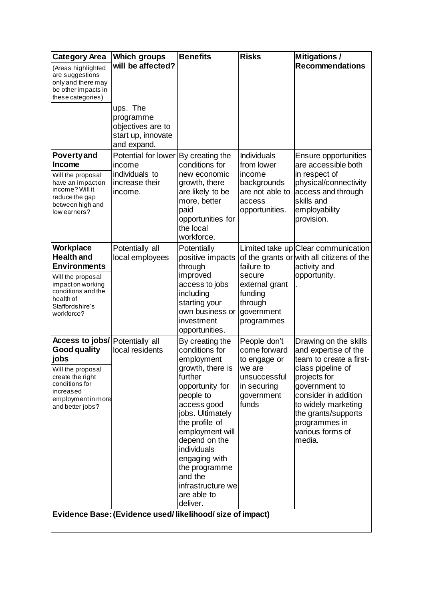| <b>Category Area</b>                                                                                                                                                | <b>Which groups</b>                                                             | <b>Benefits</b>                                                                                                                                                                                                                                                                                         | <b>Risks</b>                                                                                                 | <b>Mitigations /</b>                                                                                                                                                                                                                                |
|---------------------------------------------------------------------------------------------------------------------------------------------------------------------|---------------------------------------------------------------------------------|---------------------------------------------------------------------------------------------------------------------------------------------------------------------------------------------------------------------------------------------------------------------------------------------------------|--------------------------------------------------------------------------------------------------------------|-----------------------------------------------------------------------------------------------------------------------------------------------------------------------------------------------------------------------------------------------------|
| (Areas highlighted<br>are suggestions<br>only and there may<br>be other impacts in<br>these categories)                                                             | will be affected?                                                               |                                                                                                                                                                                                                                                                                                         |                                                                                                              | <b>Recommendations</b>                                                                                                                                                                                                                              |
|                                                                                                                                                                     | ups. The<br>programme<br>objectives are to<br>start up, innovate<br>and expand. |                                                                                                                                                                                                                                                                                                         |                                                                                                              |                                                                                                                                                                                                                                                     |
| <b>Poverty and</b><br>Income<br>Will the proposal<br>have an impacton<br>income? Will it<br>reduce the gap<br>between high and<br>low earners?                      | Potential for lower<br>income<br>individuals to<br>increase their<br>income.    | By creating the<br>conditions for<br>new economic<br>growth, there<br>are likely to be<br>more, better<br>paid<br>opportunities for<br>the local<br>workforce.                                                                                                                                          | <b>Individuals</b><br>from lower<br>income<br>backgrounds<br>are not able to<br>access<br>opportunities.     | Ensure opportunities<br>are accessible both<br>in respect of<br>physical/connectivity<br>access and through<br>skills and<br>employability<br>provision.                                                                                            |
| Workplace<br><b>Health and</b><br><b>Environments</b><br>Will the proposal<br>impact on working<br>conditions and the<br>health of<br>Staffordshire's<br>workforce? | Potentially all<br>local employees                                              | Potentially<br>positive impacts<br>through<br>improved<br>access to jobs<br>including<br>starting your<br>own business or<br>investment<br>opportunities.                                                                                                                                               | failure to<br>secure<br>external grant<br>funding<br>through<br>government<br>programmes                     | Limited take up Clear communication<br>of the grants or with all citizens of the<br>activity and<br>opportunity.                                                                                                                                    |
| Access to jobs/<br>Good quality<br>jobs<br>Will the proposal<br>create the right<br>conditions for<br>increased<br>employment in more<br>and better jobs?           | Potentially all<br>local residents                                              | By creating the<br>conditions for<br>employment<br>growth, there is<br>further<br>opportunity for<br>people to<br>access good<br>jobs. Ultimately<br>the profile of<br>employment will<br>depend on the<br>individuals<br>engaging with<br>the programme<br>and the<br>infrastructure we<br>are able to | People don't<br>come forward<br>to engage or<br>we are<br>unsuccessful<br>in securing<br>government<br>funds | Drawing on the skills<br>and expertise of the<br>team to create a first-<br>class pipeline of<br>projects for<br>government to<br>consider in addition<br>to widely marketing<br>the grants/supports<br>programmes in<br>various forms of<br>media. |
|                                                                                                                                                                     | Evidence Base: (Evidence used/likelihood/size of impact)                        | deliver.                                                                                                                                                                                                                                                                                                |                                                                                                              |                                                                                                                                                                                                                                                     |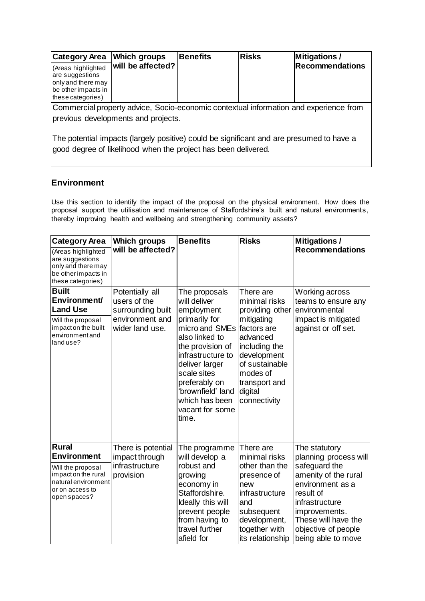| <b>Category Area</b>                                                                                    | <b>Which groups</b> | <b>Benefits</b> | <b>Risks</b> | <b>Mitigations /</b>                                                                  |
|---------------------------------------------------------------------------------------------------------|---------------------|-----------------|--------------|---------------------------------------------------------------------------------------|
| (Areas highlighted<br>are suggestions<br>only and there may<br>be other impacts in<br>these categories) | will be affected?   |                 |              | Recommendations                                                                       |
|                                                                                                         |                     |                 |              | Commercial property advice, Socio-economic contextual information and experience from |
| previous developments and projects.                                                                     |                     |                 |              |                                                                                       |
|                                                                                                         |                     |                 |              |                                                                                       |

The potential impacts (largely positive) could be significant and are presumed to have a good degree of likelihood when the project has been delivered.

#### **Environment**

Use this section to identify the impact of the proposal on the physical environment. How does the proposal support the utilisation and maintenance of Staffordshire's built and natural environments, thereby improving health and wellbeing and strengthening community assets?

| <b>Category Area</b>                                                                                                              | <b>Which groups</b>                                                                        | <b>Benefits</b>                                                                                                                                                                                                                                                            | <b>Risks</b>                                                                                                                                                                      | <b>Mitigations /</b>                                                                                                                                                                                                    |
|-----------------------------------------------------------------------------------------------------------------------------------|--------------------------------------------------------------------------------------------|----------------------------------------------------------------------------------------------------------------------------------------------------------------------------------------------------------------------------------------------------------------------------|-----------------------------------------------------------------------------------------------------------------------------------------------------------------------------------|-------------------------------------------------------------------------------------------------------------------------------------------------------------------------------------------------------------------------|
| (Areas highlighted<br>are suggestions<br>only and there may<br>be other impacts in<br>these categories)                           | will be affected?                                                                          |                                                                                                                                                                                                                                                                            |                                                                                                                                                                                   | <b>Recommendations</b>                                                                                                                                                                                                  |
| <b>Built</b><br>Environment/<br><b>Land Use</b><br>Will the proposal<br>impact on the built<br>environmentand<br>land use?        | Potentially all<br>users of the<br>surrounding built<br>environment and<br>wider land use. | The proposals<br>will deliver<br>employment<br>primarily for<br>micro and SMEs factors are<br>also linked to<br>the provision of<br>infrastructure to<br>deliver larger<br>scale sites<br>preferably on<br>'brownfield' land<br>which has been<br>vacant for some<br>time. | There are<br>minimal risks<br>providing other<br>mitigating<br>advanced<br>including the<br>development<br>of sustainable<br>modes of<br>transport and<br>digital<br>connectivity | Working across<br>teams to ensure any<br>environmental<br>impact is mitigated<br>against or off set.                                                                                                                    |
| <b>Rural</b><br>Environment<br>Will the proposal<br>impact on the rural<br>natural environment<br>or on access to<br>open spaces? | There is potential<br>impact through<br>infrastructure<br>provision                        | The programme<br>will develop a<br>robust and<br>growing<br>economy in<br>Staffordshire.<br>Ideally this will<br>prevent people<br>from having to<br>travel further<br>afield for                                                                                          | There are<br>minimal risks<br>other than the<br>presence of<br>new<br>infrastructure<br>and<br>subsequent<br>development,<br>together with<br>its relationship                    | The statutory<br>planning process will<br>safeguard the<br>amenity of the rural<br>environment as a<br>result of<br>infrastructure<br>improvements.<br>These will have the<br>objective of people<br>being able to move |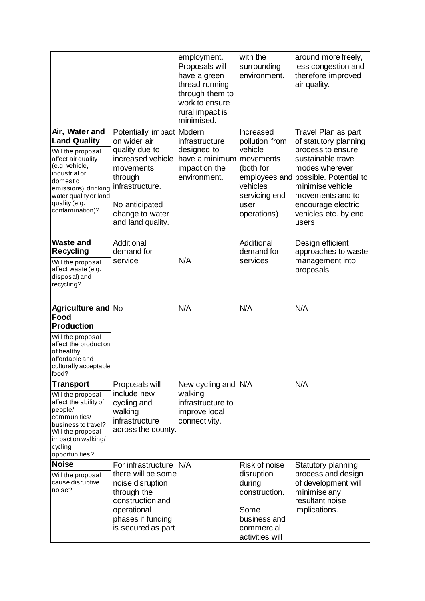|                                                                                                                                                                                                                      |                                                                                                                                                                                       | employment.<br>Proposals will<br>have a green<br>thread running<br>through them to<br>work to ensure<br>rural impact is<br>minimised. | with the<br>surrounding<br>environment.                                                                              | around more freely,<br>less congestion and<br>therefore improved<br>air quality.                                                                                                                                                                 |
|----------------------------------------------------------------------------------------------------------------------------------------------------------------------------------------------------------------------|---------------------------------------------------------------------------------------------------------------------------------------------------------------------------------------|---------------------------------------------------------------------------------------------------------------------------------------|----------------------------------------------------------------------------------------------------------------------|--------------------------------------------------------------------------------------------------------------------------------------------------------------------------------------------------------------------------------------------------|
| Air, Water and<br><b>Land Quality</b><br>Will the proposal<br>affect air quality<br>(e.g. vehicle,<br>industrial or<br>domestic<br>emissions), drinking<br>water quality or land<br>quality (e.g.<br>contamination)? | Potentially impact Modern<br>on wider air<br>quality due to<br>increased vehicle<br>movements<br>through<br>infrastructure.<br>No anticipated<br>change to water<br>and land quality. | infrastructure<br>designed to<br>have a minimum<br>impact on the<br>environment.                                                      | Increased<br>pollution from<br>vehicle<br>movements<br>(both for<br>vehicles<br>servicing end<br>user<br>operations) | Travel Plan as part<br>of statutory planning<br>process to ensure<br>sustainable travel<br>modes wherever<br>employees and possible. Potential to<br>minimise vehicle<br>movements and to<br>encourage electric<br>vehicles etc. by end<br>users |
| <b>Waste and</b><br><b>Recycling</b><br>Will the proposal<br>affect waste (e.g.<br>disposal) and<br>recycling?                                                                                                       | Additional<br>demand for<br>service                                                                                                                                                   | N/A                                                                                                                                   | Additional<br>demand for<br>services                                                                                 | Design efficient<br>approaches to waste<br>management into<br>proposals                                                                                                                                                                          |
| <b>Agriculture and No</b><br>Food<br><b>Production</b><br>Will the proposal<br>affect the production<br>of healthy,<br>affordable and<br>culturally acceptable<br>food?                                              |                                                                                                                                                                                       | N/A                                                                                                                                   | N/A                                                                                                                  | N/A                                                                                                                                                                                                                                              |
| <b>Transport</b><br>Will the proposal<br>affect the ability of<br>people/<br>communities/<br>business to travel?<br>Will the proposal<br>impacton walking/<br>cycling<br>opportunities?                              | Proposals will<br>include new<br>cycling and<br>walking<br>infrastructure<br>across the county.                                                                                       | New cycling and N/A<br>walking<br>infrastructure to<br>improve local<br>connectivity.                                                 |                                                                                                                      | N/A                                                                                                                                                                                                                                              |
| <b>Noise</b><br>Will the proposal<br>cause disruptive<br>noise?                                                                                                                                                      | For infrastructure<br>there will be some<br>noise disruption<br>through the<br>construction and<br>operational<br>phases if funding<br>is secured as part                             | <b>N/A</b>                                                                                                                            | Risk of noise<br>disruption<br>during<br>construction.<br>Some<br>business and<br>commercial<br>activities will      | Statutory planning<br>process and design<br>of development will<br>minimise any<br>resultant noise<br>implications.                                                                                                                              |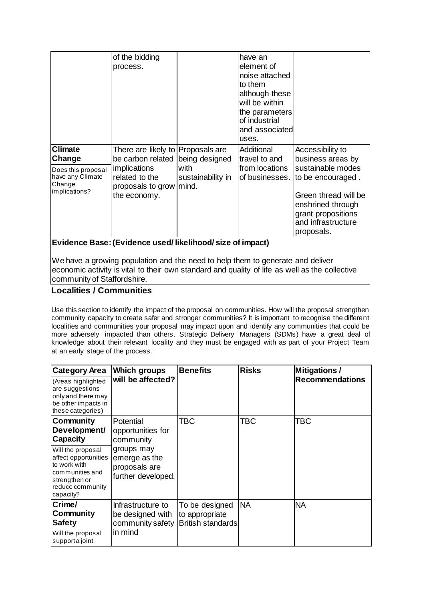|                                                                                               | of the bidding<br>process.                                                                                                                 |                                             | have an<br>element of<br>noise attached<br>to them<br>although these         |                                                                                                                                                                                                         |
|-----------------------------------------------------------------------------------------------|--------------------------------------------------------------------------------------------------------------------------------------------|---------------------------------------------|------------------------------------------------------------------------------|---------------------------------------------------------------------------------------------------------------------------------------------------------------------------------------------------------|
|                                                                                               |                                                                                                                                            |                                             | will be within<br>the parameters<br>of industrial<br>and associated<br>uses. |                                                                                                                                                                                                         |
| <b>Climate</b><br>Change<br>Does this proposal<br>have any Climate<br>Change<br>implications? | There are likely to Proposals are<br>be carbon related<br><i>implications</i><br>related to the<br>proposals to grow mind.<br>the economy. | being designed<br>with<br>sustainability in | Additional<br>travel to and<br>from locations                                | Accessibility to<br>business areas by<br>sustainable modes<br>of businesses.   to be encouraged.<br>Green thread will be<br>enshrined through<br>grant propositions<br>and infrastructure<br>proposals. |
|                                                                                               | Evidence Base: (Evidence used/likelihood/size of impact)                                                                                   |                                             |                                                                              |                                                                                                                                                                                                         |

We have a growing population and the need to help them to generate and deliver economic activity is vital to their own standard and quality of life as well as the collective community of Staffordshire.

#### **Localities / Communities**

Use this section to identify the impact of the proposal on communities. How will the proposal strengthen community capacity to create safer and stronger communities? It is important to recognise the different localities and communities your proposal may impact upon and identify any communities that could be more adversely impacted than others. Strategic Delivery Managers (SDMs) have a great deal of knowledge about their relevant locality and they must be engaged with as part of your Project Team at an early stage of the process.

| <b>Category Area</b>                                                                                    | <b>Which groups</b> | <b>Benefits</b>          | <b>Risks</b> | <b>Mitigations /</b>   |
|---------------------------------------------------------------------------------------------------------|---------------------|--------------------------|--------------|------------------------|
| (Areas highlighted<br>are suggestions<br>only and there may<br>be other impacts in<br>these categories) | will be affected?   |                          |              | <b>Recommendations</b> |
| Community                                                                                               | Potential           | TBC                      | TBC          | TBC                    |
| Development/                                                                                            | opportunities for   |                          |              |                        |
| <b>Capacity</b>                                                                                         | community           |                          |              |                        |
| Will the proposal                                                                                       | groups may          |                          |              |                        |
| affect opportunities<br>to work with                                                                    | emerge as the       |                          |              |                        |
| communities and                                                                                         | proposals are       |                          |              |                        |
| strengthen or                                                                                           | further developed.  |                          |              |                        |
| reduce community<br>capacity?                                                                           |                     |                          |              |                        |
| Crime/                                                                                                  | Infrastructure to   | To be designed           | <b>NA</b>    | <b>NA</b>              |
| <b>Community</b>                                                                                        | be designed with    | to appropriate           |              |                        |
| <b>Safety</b>                                                                                           | community safety    | <b>British standards</b> |              |                        |
| Will the proposal<br>supporta joint                                                                     | in mind             |                          |              |                        |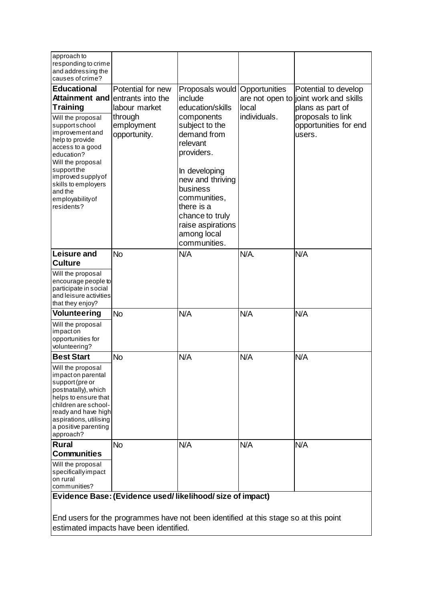| approach to<br>responding to crime<br>and addressing the<br>causes of crime?                                                                                                                                                                                                                       |                                                                                                  |                                                                                                                                                                                                                                                                               |                                        |                                                                                                                                           |
|----------------------------------------------------------------------------------------------------------------------------------------------------------------------------------------------------------------------------------------------------------------------------------------------------|--------------------------------------------------------------------------------------------------|-------------------------------------------------------------------------------------------------------------------------------------------------------------------------------------------------------------------------------------------------------------------------------|----------------------------------------|-------------------------------------------------------------------------------------------------------------------------------------------|
| <b>Educational</b><br>Attainment and<br><b>Training</b><br>Will the proposal<br>supportschool<br>improvementand<br>help to provide<br>access to a good<br>education?<br>Will the proposal<br>support the<br>improved supply of<br>skills to employers<br>and the<br>employability of<br>residents? | Potential for new<br>entrants into the<br>labour market<br>through<br>employment<br>opportunity. | Proposals would<br>include<br>education/skills<br>components<br>subject to the<br>demand from<br>relevant<br>providers.<br>In developing<br>new and thriving<br>business<br>communities,<br>there is a<br>chance to truly<br>raise aspirations<br>among local<br>communities. | Opportunities<br>local<br>individuals. | Potential to develop<br>are not open to joint work and skills<br>plans as part of<br>proposals to link<br>opportunities for end<br>users. |
| Leisure and<br><b>Culture</b><br>Will the proposal<br>encourage people to<br>participate in social<br>and leisure activities<br>that they enjoy?                                                                                                                                                   | <b>No</b>                                                                                        | N/A                                                                                                                                                                                                                                                                           | N/A.                                   | N/A                                                                                                                                       |
| Volunteering<br>Will the proposal<br>impacton<br>opportunities for<br>volunteering?                                                                                                                                                                                                                | <b>No</b>                                                                                        | N/A                                                                                                                                                                                                                                                                           | N/A                                    | N/A                                                                                                                                       |
| <b>Best Start</b>                                                                                                                                                                                                                                                                                  | <b>No</b>                                                                                        | N/A                                                                                                                                                                                                                                                                           | N/A                                    | N/A                                                                                                                                       |
| Will the proposal<br>impact on parental<br>support (pre or<br>postnatally), which<br>helps to ensure that<br>children are school-<br>ready and have high<br>aspirations, utilising<br>a positive parenting<br>approach?                                                                            |                                                                                                  |                                                                                                                                                                                                                                                                               |                                        |                                                                                                                                           |
| <b>Rural</b>                                                                                                                                                                                                                                                                                       | <b>No</b>                                                                                        | N/A                                                                                                                                                                                                                                                                           | N/A                                    | N/A                                                                                                                                       |
| <b>Communities</b><br>Will the proposal<br>specificallyimpact<br>on rural<br>communities?                                                                                                                                                                                                          |                                                                                                  |                                                                                                                                                                                                                                                                               |                                        |                                                                                                                                           |
| Evidence Base: (Evidence used/likelihood/size of impact)<br>End users for the programmes have not been identified at this stage so at this point                                                                                                                                                   |                                                                                                  |                                                                                                                                                                                                                                                                               |                                        |                                                                                                                                           |

estimated impacts have been identified.